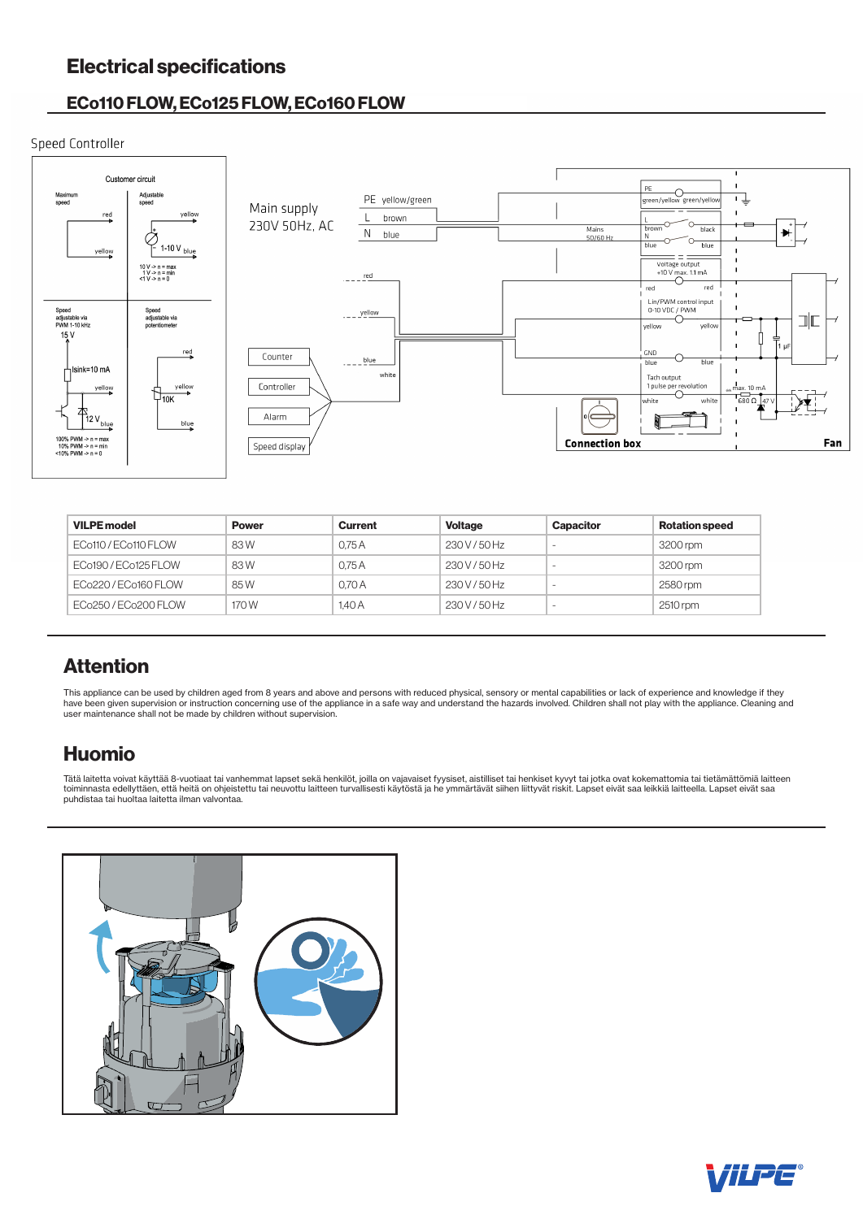# Electrical specifications

# ECo110 FLOW, ECo125 FLOW, ECo160 FLOW

# Speed Controller



| <b>VILPE model</b>   | <b>Power</b> | <b>Current</b> | <b>Voltage</b> | Capacitor                | <b>Rotation speed</b> |
|----------------------|--------------|----------------|----------------|--------------------------|-----------------------|
| ECo110 / ECo110 FLOW | 83W          | 0.75A          | 230 V / 50 Hz  | -                        | 3200 rpm              |
| ECo190 / ECo125 FLOW | 83W          | 0.75A          | 230 V / 50 Hz  | $\overline{\phantom{a}}$ | 3200 rpm              |
| ECo220/ECo160 FLOW   | 85W          | 0.70A          | 230 V / 50 Hz  | -                        | 2580 rpm              |
| ECo250/ECo200 FLOW   | 170 W        | 1.40A          | 230 V / 50 Hz  | -                        | 2510 rpm              |

# Attention

This appliance can be used by children aged from 8 years and above and persons with reduced physical, sensory or mental capabilities or lack of experience and knowledge if they<br>have been given supervision or instruction co user maintenance shall not be made by children without supervision.

# Huomio

Tätä laitetta voivat käyttää 8-vuotiaat tai vanhemmat lapset sekä henkilöt, joilla on vajavaiset fyysiset, aistilliset tai henkiset kyvyt tai jotka ovat kokemattomia tai tietämättömiä laitteen atteen<br>toiminnasta edellyttäe puhdistaa tai huoltaa laitetta ilman valvontaa.